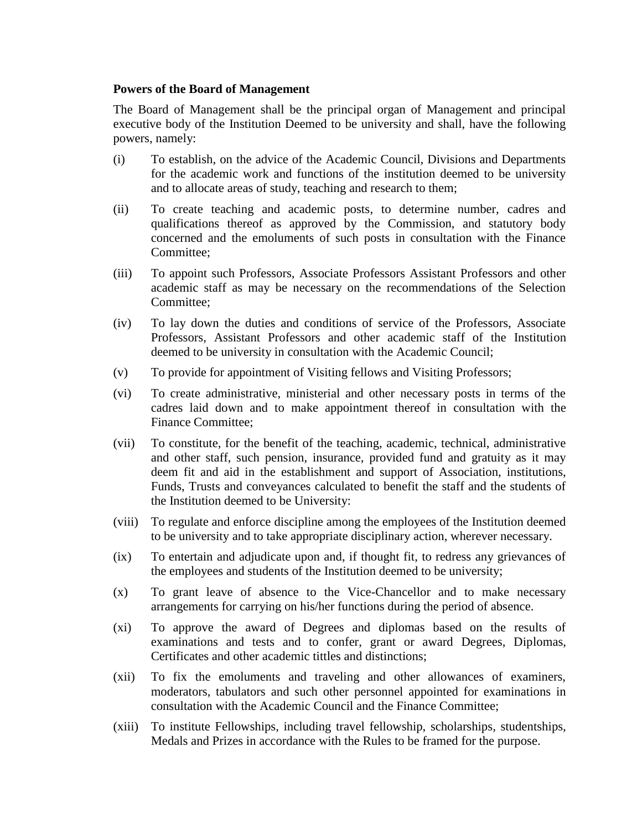## **Powers of the Board of Management**

The Board of Management shall be the principal organ of Management and principal executive body of the Institution Deemed to be university and shall, have the following powers, namely:

- (i) To establish, on the advice of the Academic Council, Divisions and Departments for the academic work and functions of the institution deemed to be university and to allocate areas of study, teaching and research to them;
- (ii) To create teaching and academic posts, to determine number, cadres and qualifications thereof as approved by the Commission, and statutory body concerned and the emoluments of such posts in consultation with the Finance Committee;
- (iii) To appoint such Professors, Associate Professors Assistant Professors and other academic staff as may be necessary on the recommendations of the Selection Committee;
- (iv) To lay down the duties and conditions of service of the Professors, Associate Professors, Assistant Professors and other academic staff of the Institution deemed to be university in consultation with the Academic Council;
- (v) To provide for appointment of Visiting fellows and Visiting Professors;
- (vi) To create administrative, ministerial and other necessary posts in terms of the cadres laid down and to make appointment thereof in consultation with the Finance Committee;
- (vii) To constitute, for the benefit of the teaching, academic, technical, administrative and other staff, such pension, insurance, provided fund and gratuity as it may deem fit and aid in the establishment and support of Association, institutions, Funds, Trusts and conveyances calculated to benefit the staff and the students of the Institution deemed to be University:
- (viii) To regulate and enforce discipline among the employees of the Institution deemed to be university and to take appropriate disciplinary action, wherever necessary.
- (ix) To entertain and adjudicate upon and, if thought fit, to redress any grievances of the employees and students of the Institution deemed to be university;
- (x) To grant leave of absence to the Vice-Chancellor and to make necessary arrangements for carrying on his/her functions during the period of absence.
- (xi) To approve the award of Degrees and diplomas based on the results of examinations and tests and to confer, grant or award Degrees, Diplomas, Certificates and other academic tittles and distinctions;
- (xii) To fix the emoluments and traveling and other allowances of examiners, moderators, tabulators and such other personnel appointed for examinations in consultation with the Academic Council and the Finance Committee;
- (xiii) To institute Fellowships, including travel fellowship, scholarships, studentships, Medals and Prizes in accordance with the Rules to be framed for the purpose.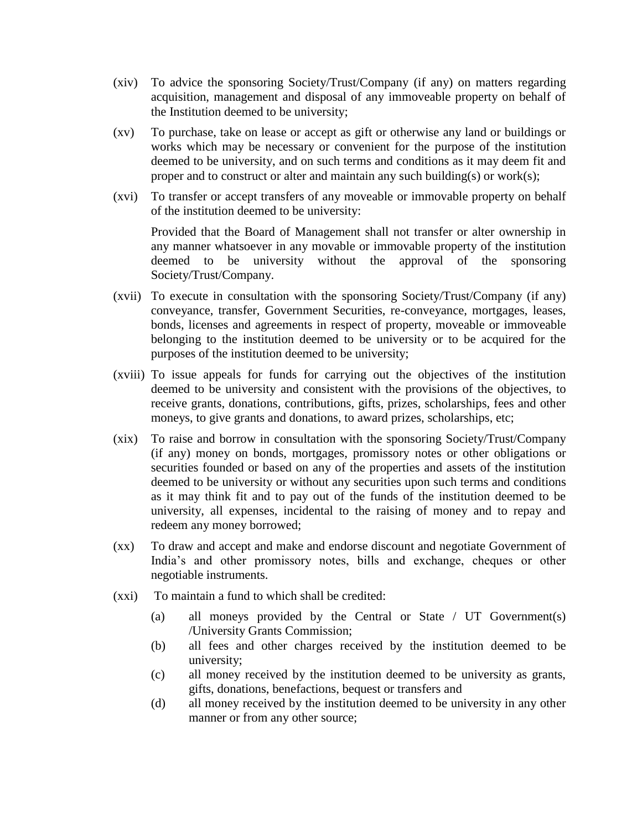- (xiv) To advice the sponsoring Society/Trust/Company (if any) on matters regarding acquisition, management and disposal of any immoveable property on behalf of the Institution deemed to be university;
- (xv) To purchase, take on lease or accept as gift or otherwise any land or buildings or works which may be necessary or convenient for the purpose of the institution deemed to be university, and on such terms and conditions as it may deem fit and proper and to construct or alter and maintain any such building(s) or work(s);
- (xvi) To transfer or accept transfers of any moveable or immovable property on behalf of the institution deemed to be university:

Provided that the Board of Management shall not transfer or alter ownership in any manner whatsoever in any movable or immovable property of the institution deemed to be university without the approval of the sponsoring Society/Trust/Company.

- (xvii) To execute in consultation with the sponsoring Society/Trust/Company (if any) conveyance, transfer, Government Securities, re-conveyance, mortgages, leases, bonds, licenses and agreements in respect of property, moveable or immoveable belonging to the institution deemed to be university or to be acquired for the purposes of the institution deemed to be university;
- (xviii) To issue appeals for funds for carrying out the objectives of the institution deemed to be university and consistent with the provisions of the objectives, to receive grants, donations, contributions, gifts, prizes, scholarships, fees and other moneys, to give grants and donations, to award prizes, scholarships, etc;
- (xix) To raise and borrow in consultation with the sponsoring Society/Trust/Company (if any) money on bonds, mortgages, promissory notes or other obligations or securities founded or based on any of the properties and assets of the institution deemed to be university or without any securities upon such terms and conditions as it may think fit and to pay out of the funds of the institution deemed to be university, all expenses, incidental to the raising of money and to repay and redeem any money borrowed;
- (xx) To draw and accept and make and endorse discount and negotiate Government of India's and other promissory notes, bills and exchange, cheques or other negotiable instruments.
- (xxi) To maintain a fund to which shall be credited:
	- (a) all moneys provided by the Central or State / UT Government(s) /University Grants Commission;
	- (b) all fees and other charges received by the institution deemed to be university;
	- (c) all money received by the institution deemed to be university as grants, gifts, donations, benefactions, bequest or transfers and
	- (d) all money received by the institution deemed to be university in any other manner or from any other source;